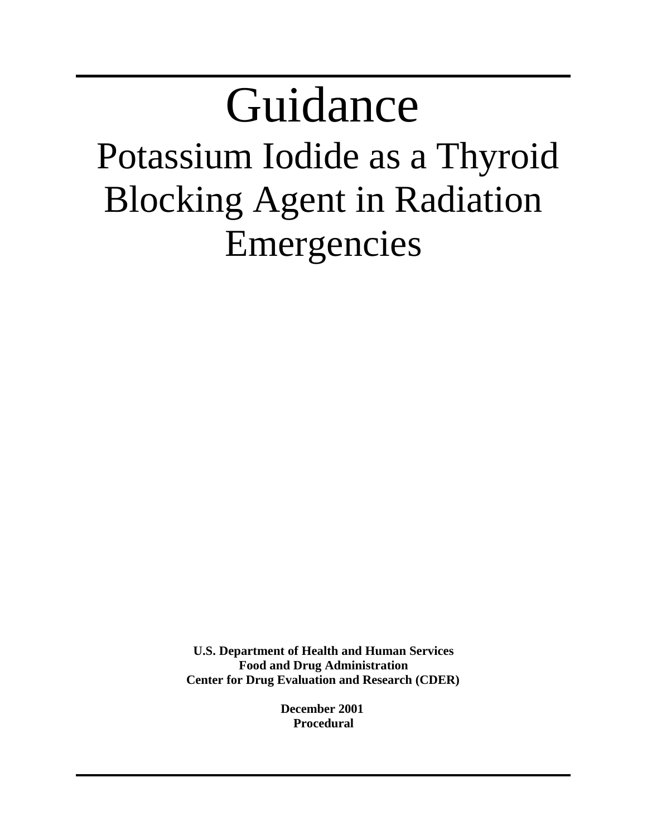## Guidance Potassium Iodide as a Thyroid Blocking Agent in Radiation Emergencies

**U.S. Department of Health and Human Services Food and Drug Administration Center for Drug Evaluation and Research (CDER)**

> **December 2001 Procedural**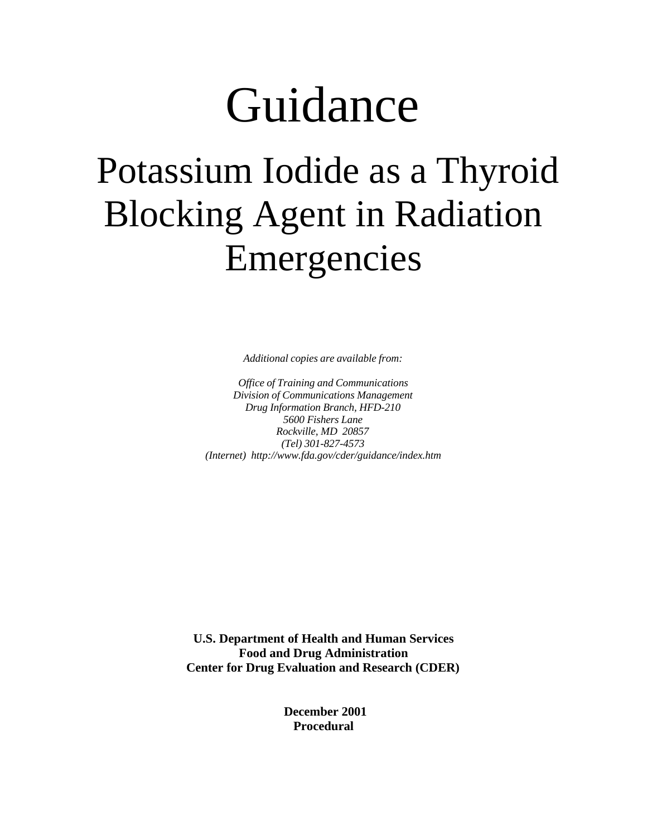# Guidance

### Potassium Iodide as a Thyroid Blocking Agent in Radiation Emergencies

*Additional copies are available from:*

*Office of Training and Communications Division of Communications Management Drug Information Branch, HFD-210 5600 Fishers Lane Rockville, MD 20857 (Tel) 301-827-4573 (Internet) http://www.fda.gov/cder/guidance/index.htm*

**U.S. Department of Health and Human Services Food and Drug Administration Center for Drug Evaluation and Research (CDER)**

> **December 2001 Procedural**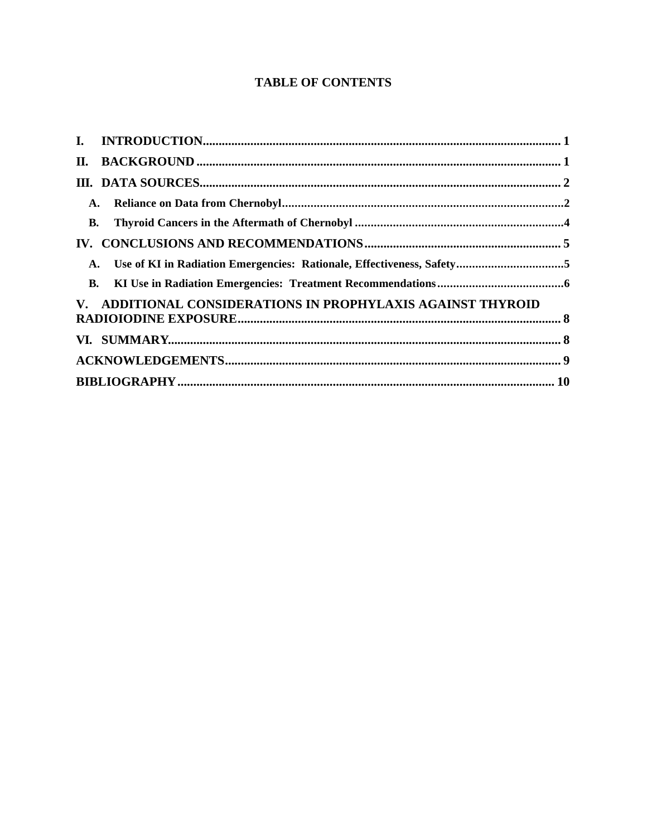#### **TABLE OF CONTENTS**

| <b>B.</b> |                                                             |  |
|-----------|-------------------------------------------------------------|--|
|           |                                                             |  |
|           |                                                             |  |
|           |                                                             |  |
|           | V. ADDITIONAL CONSIDERATIONS IN PROPHYLAXIS AGAINST THYROID |  |
|           |                                                             |  |
|           |                                                             |  |
|           |                                                             |  |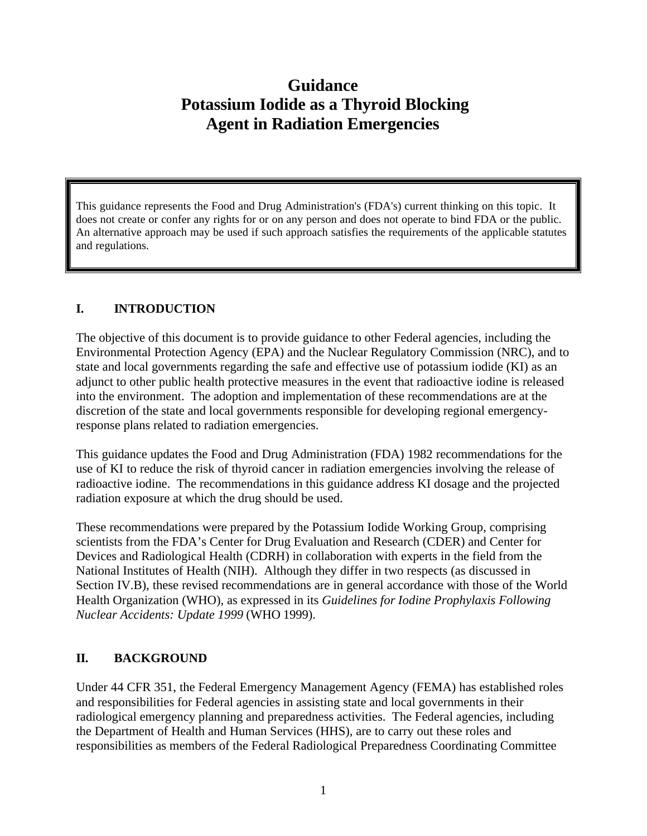### **Guidance Potassium Iodide as a Thyroid Blocking Agent in Radiation Emergencies**

This guidance represents the Food and Drug Administration's (FDA's) current thinking on this topic. It does not create or confer any rights for or on any person and does not operate to bind FDA or the public. An alternative approach may be used if such approach satisfies the requirements of the applicable statutes and regulations.

#### **I. INTRODUCTION**

The objective of this document is to provide guidance to other Federal agencies, including the Environmental Protection Agency (EPA) and the Nuclear Regulatory Commission (NRC), and to state and local governments regarding the safe and effective use of potassium iodide (KI) as an adjunct to other public health protective measures in the event that radioactive iodine is released into the environment. The adoption and implementation of these recommendations are at the discretion of the state and local governments responsible for developing regional emergencyresponse plans related to radiation emergencies.

This guidance updates the Food and Drug Administration (FDA) 1982 recommendations for the use of KI to reduce the risk of thyroid cancer in radiation emergencies involving the release of radioactive iodine. The recommendations in this guidance address KI dosage and the projected radiation exposure at which the drug should be used.

These recommendations were prepared by the Potassium Iodide Working Group, comprising scientists from the FDA's Center for Drug Evaluation and Research (CDER) and Center for Devices and Radiological Health (CDRH) in collaboration with experts in the field from the National Institutes of Health (NIH). Although they differ in two respects (as discussed in Section IV.B), these revised recommendations are in general accordance with those of the World Health Organization (WHO), as expressed in its *Guidelines for Iodine Prophylaxis Following Nuclear Accidents: Update 1999* (WHO 1999).

#### **II. BACKGROUND**

Under 44 CFR 351, the Federal Emergency Management Agency (FEMA) has established roles and responsibilities for Federal agencies in assisting state and local governments in their radiological emergency planning and preparedness activities. The Federal agencies, including the Department of Health and Human Services (HHS), are to carry out these roles and responsibilities as members of the Federal Radiological Preparedness Coordinating Committee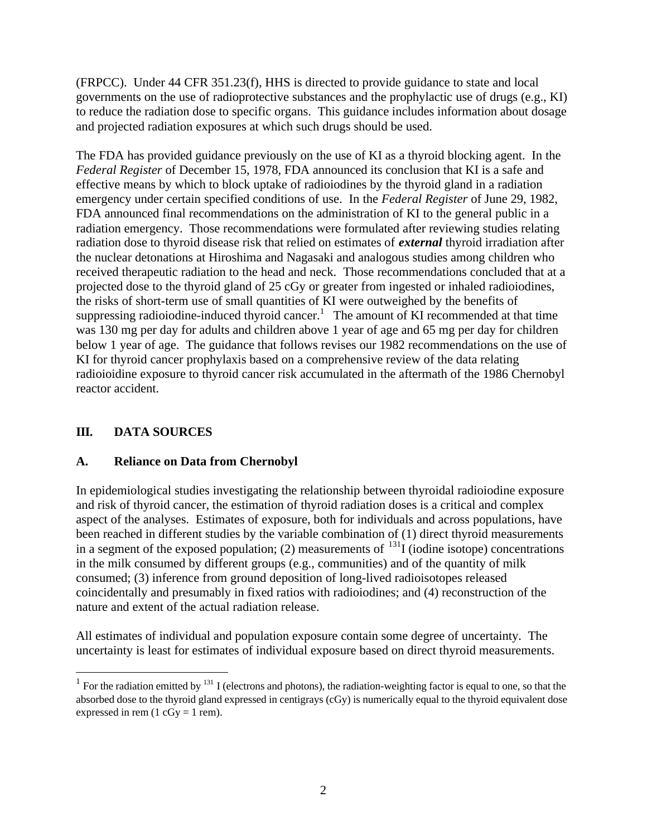(FRPCC). Under 44 CFR 351.23(f), HHS is directed to provide guidance to state and local governments on the use of radioprotective substances and the prophylactic use of drugs (e.g., KI) to reduce the radiation dose to specific organs. This guidance includes information about dosage and projected radiation exposures at which such drugs should be used.

The FDA has provided guidance previously on the use of KI as a thyroid blocking agent. In the *Federal Register* of December 15, 1978, FDA announced its conclusion that KI is a safe and effective means by which to block uptake of radioiodines by the thyroid gland in a radiation emergency under certain specified conditions of use. In the *Federal Register* of June 29, 1982, FDA announced final recommendations on the administration of KI to the general public in a radiation emergency. Those recommendations were formulated after reviewing studies relating radiation dose to thyroid disease risk that relied on estimates of *external* thyroid irradiation after the nuclear detonations at Hiroshima and Nagasaki and analogous studies among children who received therapeutic radiation to the head and neck. Those recommendations concluded that at a projected dose to the thyroid gland of 25 cGy or greater from ingested or inhaled radioiodines, the risks of short-term use of small quantities of KI were outweighed by the benefits of suppressing radioiodine-induced thyroid cancer.<sup>1</sup> The amount of KI recommended at that time was 130 mg per day for adults and children above 1 year of age and 65 mg per day for children below 1 year of age. The guidance that follows revises our 1982 recommendations on the use of KI for thyroid cancer prophylaxis based on a comprehensive review of the data relating radioioidine exposure to thyroid cancer risk accumulated in the aftermath of the 1986 Chernobyl reactor accident.

#### **III. DATA SOURCES**

 $\overline{a}$ 

#### **A. Reliance on Data from Chernobyl**

In epidemiological studies investigating the relationship between thyroidal radioiodine exposure and risk of thyroid cancer, the estimation of thyroid radiation doses is a critical and complex aspect of the analyses. Estimates of exposure, both for individuals and across populations, have been reached in different studies by the variable combination of (1) direct thyroid measurements in a segment of the exposed population; (2) measurements of  $^{131}$ I (iodine isotope) concentrations in the milk consumed by different groups (e.g., communities) and of the quantity of milk consumed; (3) inference from ground deposition of long-lived radioisotopes released coincidentally and presumably in fixed ratios with radioiodines; and (4) reconstruction of the nature and extent of the actual radiation release.

All estimates of individual and population exposure contain some degree of uncertainty. The uncertainty is least for estimates of individual exposure based on direct thyroid measurements.

<sup>&</sup>lt;sup>1</sup> For the radiation emitted by <sup>131</sup> I (electrons and photons), the radiation-weighting factor is equal to one, so that the absorbed dose to the thyroid gland expressed in centigrays (cGy) is numerically equal to the thyroid equivalent dose expressed in rem  $(1 cGy = 1 rem)$ .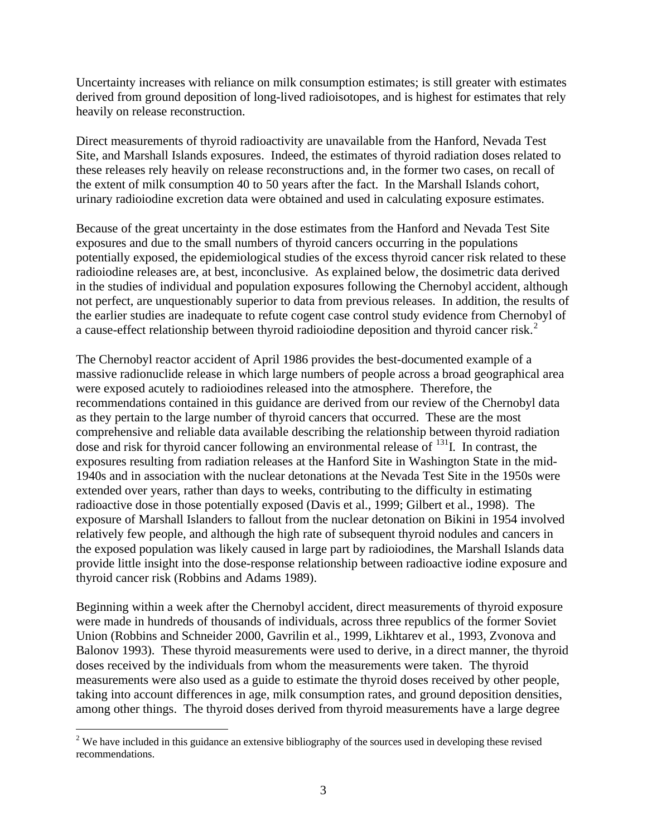Uncertainty increases with reliance on milk consumption estimates; is still greater with estimates derived from ground deposition of long-lived radioisotopes, and is highest for estimates that rely heavily on release reconstruction.

Direct measurements of thyroid radioactivity are unavailable from the Hanford, Nevada Test Site, and Marshall Islands exposures. Indeed, the estimates of thyroid radiation doses related to these releases rely heavily on release reconstructions and, in the former two cases, on recall of the extent of milk consumption 40 to 50 years after the fact. In the Marshall Islands cohort, urinary radioiodine excretion data were obtained and used in calculating exposure estimates.

Because of the great uncertainty in the dose estimates from the Hanford and Nevada Test Site exposures and due to the small numbers of thyroid cancers occurring in the populations potentially exposed, the epidemiological studies of the excess thyroid cancer risk related to these radioiodine releases are, at best, inconclusive. As explained below, the dosimetric data derived in the studies of individual and population exposures following the Chernobyl accident, although not perfect, are unquestionably superior to data from previous releases. In addition, the results of the earlier studies are inadequate to refute cogent case control study evidence from Chernobyl of a cause-effect relationship between thyroid radioiodine deposition and thyroid cancer risk.<sup>2</sup>

The Chernobyl reactor accident of April 1986 provides the best-documented example of a massive radionuclide release in which large numbers of people across a broad geographical area were exposed acutely to radioiodines released into the atmosphere. Therefore, the recommendations contained in this guidance are derived from our review of the Chernobyl data as they pertain to the large number of thyroid cancers that occurred. These are the most comprehensive and reliable data available describing the relationship between thyroid radiation dose and risk for thyroid cancer following an environmental release of <sup>131</sup>I. In contrast, the exposures resulting from radiation releases at the Hanford Site in Washington State in the mid-1940s and in association with the nuclear detonations at the Nevada Test Site in the 1950s were extended over years, rather than days to weeks, contributing to the difficulty in estimating radioactive dose in those potentially exposed (Davis et al., 1999; Gilbert et al., 1998). The exposure of Marshall Islanders to fallout from the nuclear detonation on Bikini in 1954 involved relatively few people, and although the high rate of subsequent thyroid nodules and cancers in the exposed population was likely caused in large part by radioiodines, the Marshall Islands data provide little insight into the dose-response relationship between radioactive iodine exposure and thyroid cancer risk (Robbins and Adams 1989).

Beginning within a week after the Chernobyl accident, direct measurements of thyroid exposure were made in hundreds of thousands of individuals, across three republics of the former Soviet Union (Robbins and Schneider 2000, Gavrilin et al., 1999, Likhtarev et al., 1993, Zvonova and Balonov 1993). These thyroid measurements were used to derive, in a direct manner, the thyroid doses received by the individuals from whom the measurements were taken. The thyroid measurements were also used as a guide to estimate the thyroid doses received by other people, taking into account differences in age, milk consumption rates, and ground deposition densities, among other things. The thyroid doses derived from thyroid measurements have a large degree

<sup>&</sup>lt;sup>2</sup> We have included in this guidance an extensive bibliography of the sources used in developing these revised recommendations.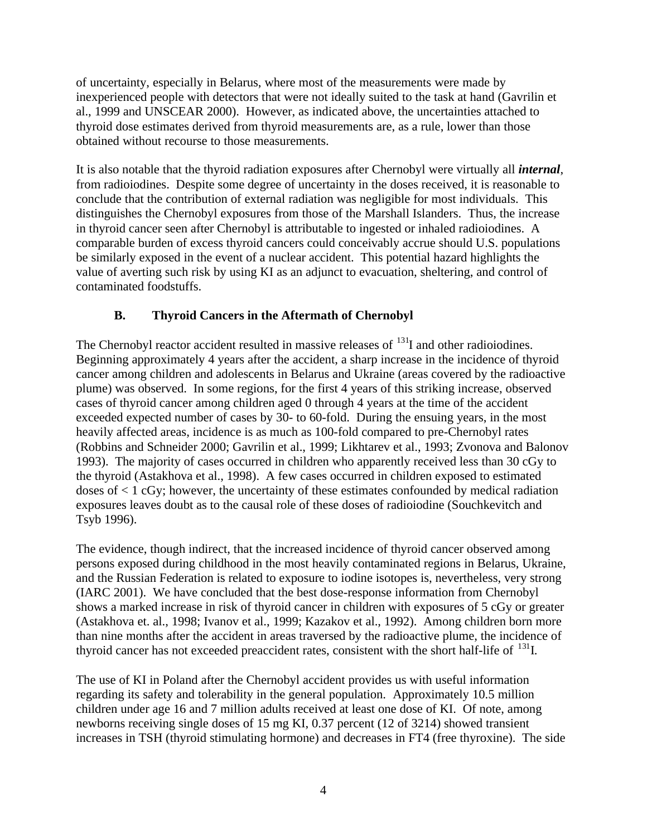of uncertainty, especially in Belarus, where most of the measurements were made by inexperienced people with detectors that were not ideally suited to the task at hand (Gavrilin et al., 1999 and UNSCEAR 2000). However, as indicated above, the uncertainties attached to thyroid dose estimates derived from thyroid measurements are, as a rule, lower than those obtained without recourse to those measurements.

It is also notable that the thyroid radiation exposures after Chernobyl were virtually all *internal*, from radioiodines. Despite some degree of uncertainty in the doses received, it is reasonable to conclude that the contribution of external radiation was negligible for most individuals. This distinguishes the Chernobyl exposures from those of the Marshall Islanders. Thus, the increase in thyroid cancer seen after Chernobyl is attributable to ingested or inhaled radioiodines. A comparable burden of excess thyroid cancers could conceivably accrue should U.S. populations be similarly exposed in the event of a nuclear accident. This potential hazard highlights the value of averting such risk by using KI as an adjunct to evacuation, sheltering, and control of contaminated foodstuffs.

#### **B. Thyroid Cancers in the Aftermath of Chernobyl**

The Chernobyl reactor accident resulted in massive releases of <sup>131</sup>I and other radioiodines. Beginning approximately 4 years after the accident, a sharp increase in the incidence of thyroid cancer among children and adolescents in Belarus and Ukraine (areas covered by the radioactive plume) was observed. In some regions, for the first 4 years of this striking increase, observed cases of thyroid cancer among children aged 0 through 4 years at the time of the accident exceeded expected number of cases by 30- to 60-fold. During the ensuing years, in the most heavily affected areas, incidence is as much as 100-fold compared to pre-Chernobyl rates (Robbins and Schneider 2000; Gavrilin et al., 1999; Likhtarev et al., 1993; Zvonova and Balonov 1993). The majority of cases occurred in children who apparently received less than 30 cGy to the thyroid (Astakhova et al., 1998). A few cases occurred in children exposed to estimated doses of < 1 cGy; however, the uncertainty of these estimates confounded by medical radiation exposures leaves doubt as to the causal role of these doses of radioiodine (Souchkevitch and Tsyb 1996).

The evidence, though indirect, that the increased incidence of thyroid cancer observed among persons exposed during childhood in the most heavily contaminated regions in Belarus, Ukraine, and the Russian Federation is related to exposure to iodine isotopes is, nevertheless, very strong (IARC 2001). We have concluded that the best dose-response information from Chernobyl shows a marked increase in risk of thyroid cancer in children with exposures of 5 cGy or greater (Astakhova et. al., 1998; Ivanov et al., 1999; Kazakov et al., 1992). Among children born more than nine months after the accident in areas traversed by the radioactive plume, the incidence of thyroid cancer has not exceeded preaccident rates, consistent with the short half-life of <sup>131</sup>I.

The use of KI in Poland after the Chernobyl accident provides us with useful information regarding its safety and tolerability in the general population. Approximately 10.5 million children under age 16 and 7 million adults received at least one dose of KI. Of note, among newborns receiving single doses of 15 mg KI, 0.37 percent (12 of 3214) showed transient increases in TSH (thyroid stimulating hormone) and decreases in FT4 (free thyroxine). The side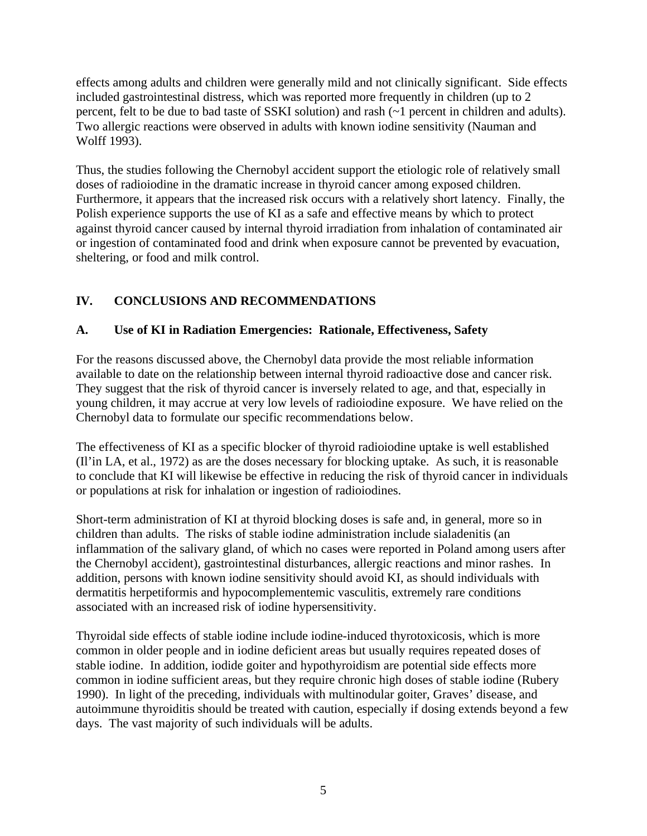effects among adults and children were generally mild and not clinically significant. Side effects included gastrointestinal distress, which was reported more frequently in children (up to 2 percent, felt to be due to bad taste of SSKI solution) and rash (~1 percent in children and adults). Two allergic reactions were observed in adults with known iodine sensitivity (Nauman and Wolff 1993).

Thus, the studies following the Chernobyl accident support the etiologic role of relatively small doses of radioiodine in the dramatic increase in thyroid cancer among exposed children. Furthermore, it appears that the increased risk occurs with a relatively short latency. Finally, the Polish experience supports the use of KI as a safe and effective means by which to protect against thyroid cancer caused by internal thyroid irradiation from inhalation of contaminated air or ingestion of contaminated food and drink when exposure cannot be prevented by evacuation, sheltering, or food and milk control.

#### **IV. CONCLUSIONS AND RECOMMENDATIONS**

#### **A. Use of KI in Radiation Emergencies: Rationale, Effectiveness, Safety**

For the reasons discussed above, the Chernobyl data provide the most reliable information available to date on the relationship between internal thyroid radioactive dose and cancer risk. They suggest that the risk of thyroid cancer is inversely related to age, and that, especially in young children, it may accrue at very low levels of radioiodine exposure. We have relied on the Chernobyl data to formulate our specific recommendations below.

The effectiveness of KI as a specific blocker of thyroid radioiodine uptake is well established (Il'in LA, et al., 1972) as are the doses necessary for blocking uptake. As such, it is reasonable to conclude that KI will likewise be effective in reducing the risk of thyroid cancer in individuals or populations at risk for inhalation or ingestion of radioiodines.

Short-term administration of KI at thyroid blocking doses is safe and, in general, more so in children than adults. The risks of stable iodine administration include sialadenitis (an inflammation of the salivary gland, of which no cases were reported in Poland among users after the Chernobyl accident), gastrointestinal disturbances, allergic reactions and minor rashes. In addition, persons with known iodine sensitivity should avoid KI, as should individuals with dermatitis herpetiformis and hypocomplementemic vasculitis, extremely rare conditions associated with an increased risk of iodine hypersensitivity.

Thyroidal side effects of stable iodine include iodine-induced thyrotoxicosis, which is more common in older people and in iodine deficient areas but usually requires repeated doses of stable iodine. In addition, iodide goiter and hypothyroidism are potential side effects more common in iodine sufficient areas, but they require chronic high doses of stable iodine (Rubery 1990). In light of the preceding, individuals with multinodular goiter, Graves' disease, and autoimmune thyroiditis should be treated with caution, especially if dosing extends beyond a few days. The vast majority of such individuals will be adults.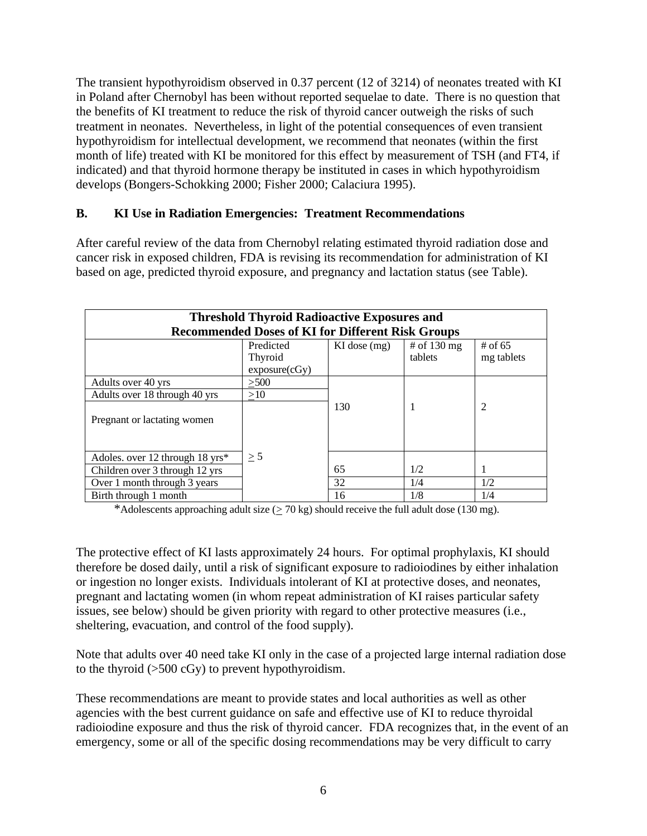The transient hypothyroidism observed in 0.37 percent (12 of 3214) of neonates treated with KI in Poland after Chernobyl has been without reported sequelae to date. There is no question that the benefits of KI treatment to reduce the risk of thyroid cancer outweigh the risks of such treatment in neonates. Nevertheless, in light of the potential consequences of even transient hypothyroidism for intellectual development, we recommend that neonates (within the first month of life) treated with KI be monitored for this effect by measurement of TSH (and FT4, if indicated) and that thyroid hormone therapy be instituted in cases in which hypothyroidism develops (Bongers-Schokking 2000; Fisher 2000; Calaciura 1995).

#### **B. KI Use in Radiation Emergencies: Treatment Recommendations**

After careful review of the data from Chernobyl relating estimated thyroid radiation dose and cancer risk in exposed children, FDA is revising its recommendation for administration of KI based on age, predicted thyroid exposure, and pregnancy and lactation status (see Table).

| <b>Threshold Thyroid Radioactive Exposures and</b><br><b>Recommended Doses of KI for Different Risk Groups</b> |                                       |                  |                                  |                         |  |  |  |
|----------------------------------------------------------------------------------------------------------------|---------------------------------------|------------------|----------------------------------|-------------------------|--|--|--|
|                                                                                                                | Predicted<br>Thyroid<br>exposure(cGy) | $KI$ dose $(mg)$ | # of $130 \text{ mg}$<br>tablets | # of $65$<br>mg tablets |  |  |  |
| Adults over 40 yrs                                                                                             | >500                                  |                  |                                  |                         |  |  |  |
| Adults over 18 through 40 yrs                                                                                  | >10                                   |                  |                                  |                         |  |  |  |
| Pregnant or lactating women                                                                                    |                                       | 130              |                                  | 2                       |  |  |  |
| Adoles. over 12 through 18 yrs*                                                                                | $\geq$ 5                              |                  |                                  |                         |  |  |  |
| Children over 3 through 12 yrs                                                                                 |                                       | 65               | 1/2                              | 1                       |  |  |  |
| Over 1 month through 3 years                                                                                   |                                       | 32               | 1/4                              | 1/2                     |  |  |  |
| Birth through 1 month                                                                                          |                                       | 16               | 1/8                              | 1/4                     |  |  |  |

\*Adolescents approaching adult size  $(2.70 \text{ kg})$  should receive the full adult dose (130 mg).

The protective effect of KI lasts approximately 24 hours. For optimal prophylaxis, KI should therefore be dosed daily, until a risk of significant exposure to radioiodines by either inhalation or ingestion no longer exists. Individuals intolerant of KI at protective doses, and neonates, pregnant and lactating women (in whom repeat administration of KI raises particular safety issues, see below) should be given priority with regard to other protective measures (i.e., sheltering, evacuation, and control of the food supply).

Note that adults over 40 need take KI only in the case of a projected large internal radiation dose to the thyroid  $(>500 \text{ cGy})$  to prevent hypothyroidism.

These recommendations are meant to provide states and local authorities as well as other agencies with the best current guidance on safe and effective use of KI to reduce thyroidal radioiodine exposure and thus the risk of thyroid cancer. FDA recognizes that, in the event of an emergency, some or all of the specific dosing recommendations may be very difficult to carry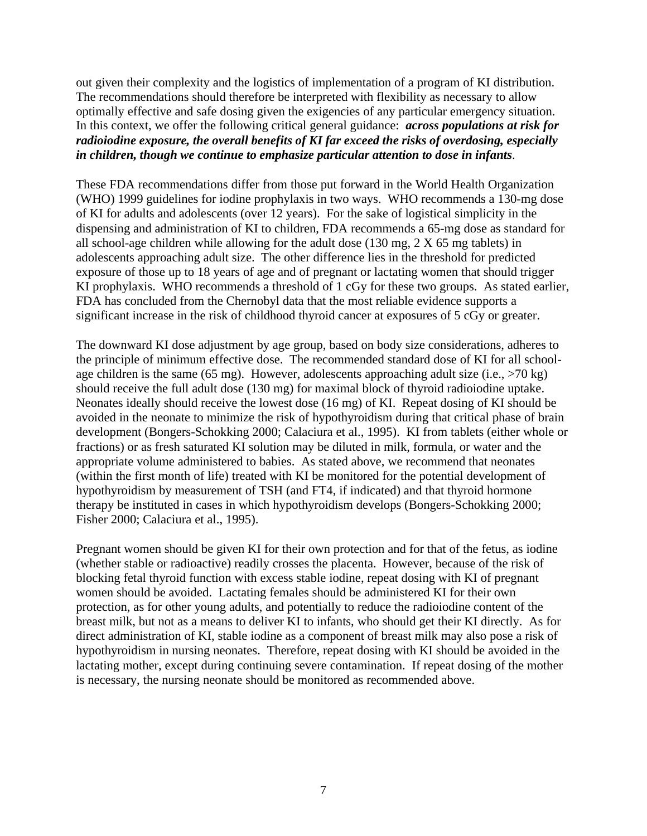out given their complexity and the logistics of implementation of a program of KI distribution. The recommendations should therefore be interpreted with flexibility as necessary to allow optimally effective and safe dosing given the exigencies of any particular emergency situation. In this context, we offer the following critical general guidance: *across populations at risk for radioiodine exposure, the overall benefits of KI far exceed the risks of overdosing, especially in children, though we continue to emphasize particular attention to dose in infants*.

These FDA recommendations differ from those put forward in the World Health Organization (WHO) 1999 guidelines for iodine prophylaxis in two ways. WHO recommends a 130-mg dose of KI for adults and adolescents (over 12 years). For the sake of logistical simplicity in the dispensing and administration of KI to children, FDA recommends a 65-mg dose as standard for all school-age children while allowing for the adult dose (130 mg, 2 X 65 mg tablets) in adolescents approaching adult size. The other difference lies in the threshold for predicted exposure of those up to 18 years of age and of pregnant or lactating women that should trigger KI prophylaxis. WHO recommends a threshold of 1 cGy for these two groups. As stated earlier, FDA has concluded from the Chernobyl data that the most reliable evidence supports a significant increase in the risk of childhood thyroid cancer at exposures of 5 cGy or greater.

The downward KI dose adjustment by age group, based on body size considerations, adheres to the principle of minimum effective dose. The recommended standard dose of KI for all schoolage children is the same (65 mg). However, adolescents approaching adult size (i.e.,  $>70$  kg) should receive the full adult dose (130 mg) for maximal block of thyroid radioiodine uptake. Neonates ideally should receive the lowest dose (16 mg) of KI. Repeat dosing of KI should be avoided in the neonate to minimize the risk of hypothyroidism during that critical phase of brain development (Bongers-Schokking 2000; Calaciura et al., 1995). KI from tablets (either whole or fractions) or as fresh saturated KI solution may be diluted in milk, formula, or water and the appropriate volume administered to babies. As stated above, we recommend that neonates (within the first month of life) treated with KI be monitored for the potential development of hypothyroidism by measurement of TSH (and FT4, if indicated) and that thyroid hormone therapy be instituted in cases in which hypothyroidism develops (Bongers-Schokking 2000; Fisher 2000; Calaciura et al., 1995).

Pregnant women should be given KI for their own protection and for that of the fetus, as iodine (whether stable or radioactive) readily crosses the placenta. However, because of the risk of blocking fetal thyroid function with excess stable iodine, repeat dosing with KI of pregnant women should be avoided. Lactating females should be administered KI for their own protection, as for other young adults, and potentially to reduce the radioiodine content of the breast milk, but not as a means to deliver KI to infants, who should get their KI directly. As for direct administration of KI, stable iodine as a component of breast milk may also pose a risk of hypothyroidism in nursing neonates. Therefore, repeat dosing with KI should be avoided in the lactating mother, except during continuing severe contamination. If repeat dosing of the mother is necessary, the nursing neonate should be monitored as recommended above.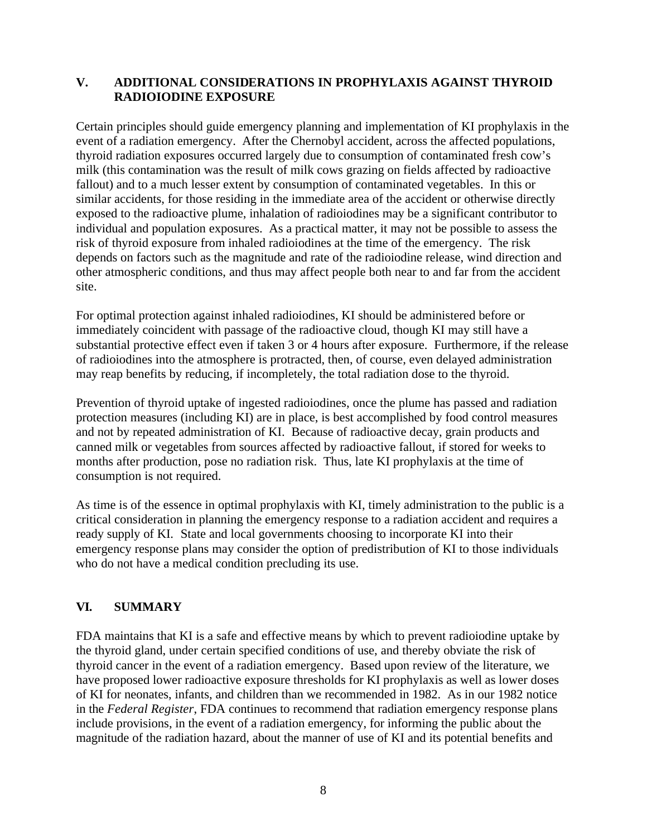#### **V. ADDITIONAL CONSIDERATIONS IN PROPHYLAXIS AGAINST THYROID RADIOIODINE EXPOSURE**

Certain principles should guide emergency planning and implementation of KI prophylaxis in the event of a radiation emergency. After the Chernobyl accident, across the affected populations, thyroid radiation exposures occurred largely due to consumption of contaminated fresh cow's milk (this contamination was the result of milk cows grazing on fields affected by radioactive fallout) and to a much lesser extent by consumption of contaminated vegetables. In this or similar accidents, for those residing in the immediate area of the accident or otherwise directly exposed to the radioactive plume, inhalation of radioiodines may be a significant contributor to individual and population exposures. As a practical matter, it may not be possible to assess the risk of thyroid exposure from inhaled radioiodines at the time of the emergency. The risk depends on factors such as the magnitude and rate of the radioiodine release, wind direction and other atmospheric conditions, and thus may affect people both near to and far from the accident site.

For optimal protection against inhaled radioiodines, KI should be administered before or immediately coincident with passage of the radioactive cloud, though KI may still have a substantial protective effect even if taken 3 or 4 hours after exposure. Furthermore, if the release of radioiodines into the atmosphere is protracted, then, of course, even delayed administration may reap benefits by reducing, if incompletely, the total radiation dose to the thyroid.

Prevention of thyroid uptake of ingested radioiodines, once the plume has passed and radiation protection measures (including KI) are in place, is best accomplished by food control measures and not by repeated administration of KI. Because of radioactive decay, grain products and canned milk or vegetables from sources affected by radioactive fallout, if stored for weeks to months after production, pose no radiation risk. Thus, late KI prophylaxis at the time of consumption is not required.

As time is of the essence in optimal prophylaxis with KI, timely administration to the public is a critical consideration in planning the emergency response to a radiation accident and requires a ready supply of KI. State and local governments choosing to incorporate KI into their emergency response plans may consider the option of predistribution of KI to those individuals who do not have a medical condition precluding its use.

#### **VI. SUMMARY**

FDA maintains that KI is a safe and effective means by which to prevent radioiodine uptake by the thyroid gland, under certain specified conditions of use, and thereby obviate the risk of thyroid cancer in the event of a radiation emergency. Based upon review of the literature, we have proposed lower radioactive exposure thresholds for KI prophylaxis as well as lower doses of KI for neonates, infants, and children than we recommended in 1982. As in our 1982 notice in the *Federal Register*, FDA continues to recommend that radiation emergency response plans include provisions, in the event of a radiation emergency, for informing the public about the magnitude of the radiation hazard, about the manner of use of KI and its potential benefits and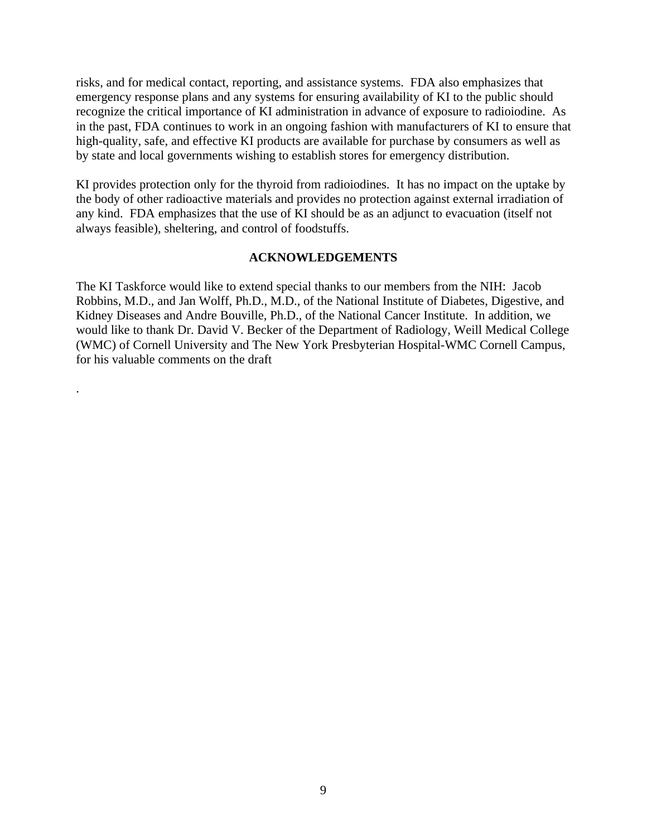risks, and for medical contact, reporting, and assistance systems. FDA also emphasizes that emergency response plans and any systems for ensuring availability of KI to the public should recognize the critical importance of KI administration in advance of exposure to radioiodine. As in the past, FDA continues to work in an ongoing fashion with manufacturers of KI to ensure that high-quality, safe, and effective KI products are available for purchase by consumers as well as by state and local governments wishing to establish stores for emergency distribution.

KI provides protection only for the thyroid from radioiodines. It has no impact on the uptake by the body of other radioactive materials and provides no protection against external irradiation of any kind. FDA emphasizes that the use of KI should be as an adjunct to evacuation (itself not always feasible), sheltering, and control of foodstuffs.

#### **ACKNOWLEDGEMENTS**

The KI Taskforce would like to extend special thanks to our members from the NIH: Jacob Robbins, M.D., and Jan Wolff, Ph.D., M.D., of the National Institute of Diabetes, Digestive, and Kidney Diseases and Andre Bouville, Ph.D., of the National Cancer Institute. In addition, we would like to thank Dr. David V. Becker of the Department of Radiology, Weill Medical College (WMC) of Cornell University and The New York Presbyterian Hospital-WMC Cornell Campus, for his valuable comments on the draft

.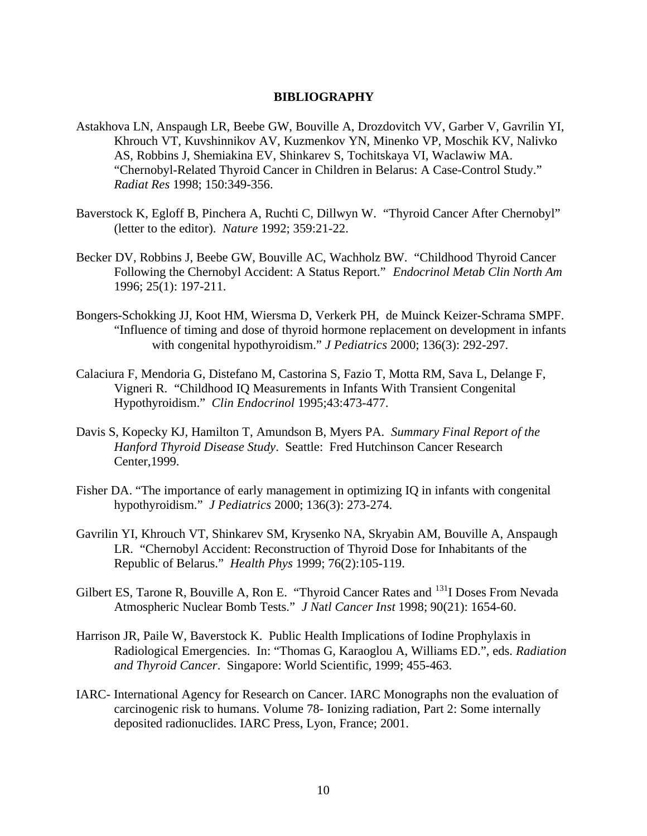#### **BIBLIOGRAPHY**

- Astakhova LN, Anspaugh LR, Beebe GW, Bouville A, Drozdovitch VV, Garber V, Gavrilin YI, Khrouch VT, Kuvshinnikov AV, Kuzmenkov YN, Minenko VP, Moschik KV, Nalivko AS, Robbins J, Shemiakina EV, Shinkarev S, Tochitskaya VI, Waclawiw MA. "Chernobyl-Related Thyroid Cancer in Children in Belarus: A Case-Control Study." *Radiat Res* 1998; 150:349-356.
- Baverstock K, Egloff B, Pinchera A, Ruchti C, Dillwyn W. "Thyroid Cancer After Chernobyl" (letter to the editor). *Nature* 1992; 359:21-22.
- Becker DV, Robbins J, Beebe GW, Bouville AC, Wachholz BW. "Childhood Thyroid Cancer Following the Chernobyl Accident: A Status Report." *Endocrinol Metab Clin North Am* 1996; 25(1): 197-211.
- Bongers-Schokking JJ, Koot HM, Wiersma D, Verkerk PH, de Muinck Keizer-Schrama SMPF. "Influence of timing and dose of thyroid hormone replacement on development in infants with congenital hypothyroidism." *J Pediatrics* 2000; 136(3): 292-297.
- Calaciura F, Mendoria G, Distefano M, Castorina S, Fazio T, Motta RM, Sava L, Delange F, Vigneri R. "Childhood IQ Measurements in Infants With Transient Congenital Hypothyroidism." *Clin Endocrinol* 1995;43:473-477.
- Davis S, Kopecky KJ, Hamilton T, Amundson B, Myers PA. *Summary Final Report of the Hanford Thyroid Disease Study*. Seattle: Fred Hutchinson Cancer Research Center,1999.
- Fisher DA. "The importance of early management in optimizing IQ in infants with congenital hypothyroidism." *J Pediatrics* 2000; 136(3): 273-274.
- Gavrilin YI, Khrouch VT, Shinkarev SM, Krysenko NA, Skryabin AM, Bouville A, Anspaugh LR. "Chernobyl Accident: Reconstruction of Thyroid Dose for Inhabitants of the Republic of Belarus." *Health Phys* 1999; 76(2):105-119.
- Gilbert ES, Tarone R, Bouville A, Ron E. "Thyroid Cancer Rates and <sup>131</sup>I Doses From Nevada Atmospheric Nuclear Bomb Tests." *J N*a*tl Cancer Inst* 1998; 90(21): 1654-60.
- Harrison JR, Paile W, Baverstock K. Public Health Implications of Iodine Prophylaxis in Radiological Emergencies. In: "Thomas G, Karaoglou A, Williams ED.", eds. *Radiation and Thyroid Cancer*. Singapore: World Scientific, 1999; 455-463.
- IARC- International Agency for Research on Cancer. IARC Monographs non the evaluation of carcinogenic risk to humans. Volume 78- Ionizing radiation, Part 2: Some internally deposited radionuclides. IARC Press, Lyon, France; 2001.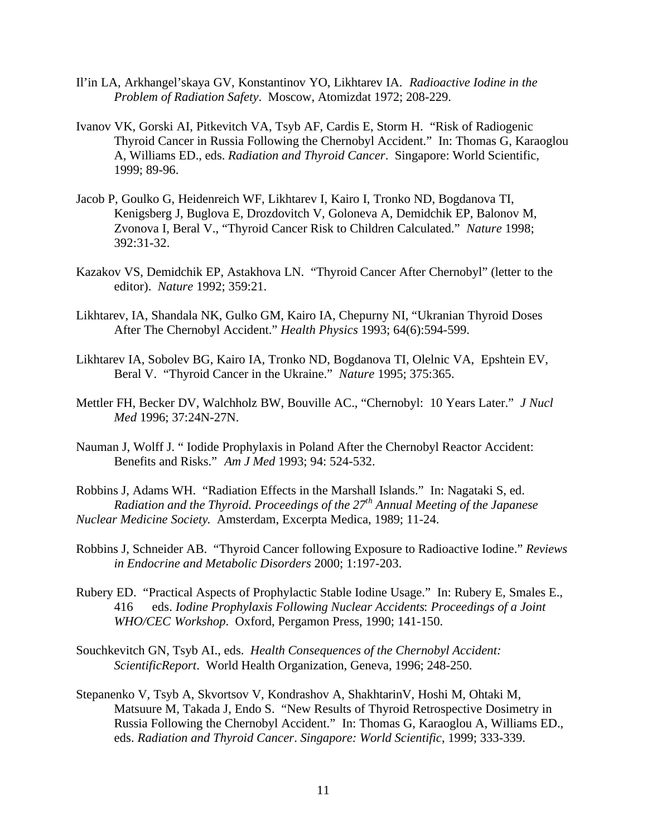- Il'in LA, Arkhangel'skaya GV, Konstantinov YO, Likhtarev IA. *Radioactive Iodine in the Problem of Radiation Safety*. Moscow, Atomizdat 1972; 208-229.
- Ivanov VK, Gorski AI, Pitkevitch VA, Tsyb AF, Cardis E, Storm H. "Risk of Radiogenic Thyroid Cancer in Russia Following the Chernobyl Accident." In: Thomas G, Karaoglou A, Williams ED., eds. *Radiation and Thyroid Cancer*. Singapore: World Scientific, 1999; 89-96.
- Jacob P, Goulko G, Heidenreich WF, Likhtarev I, Kairo I, Tronko ND, Bogdanova TI, Kenigsberg J, Buglova E, Drozdovitch V, Goloneva A, Demidchik EP, Balonov M, Zvonova I, Beral V., "Thyroid Cancer Risk to Children Calculated." *Nature* 1998; 392:31-32.
- Kazakov VS, Demidchik EP, Astakhova LN. "Thyroid Cancer After Chernobyl" (letter to the editor). *Nature* 1992; 359:21.
- Likhtarev, IA, Shandala NK, Gulko GM, Kairo IA, Chepurny NI, "Ukranian Thyroid Doses After The Chernobyl Accident." *Health Physics* 1993; 64(6):594-599.
- Likhtarev IA, Sobolev BG, Kairo IA, Tronko ND, Bogdanova TI, Olelnic VA, Epshtein EV, Beral V. "Thyroid Cancer in the Ukraine." *Nature* 1995; 375:365.
- Mettler FH, Becker DV, Walchholz BW, Bouville AC., "Chernobyl: 10 Years Later." *J Nucl Med* 1996; 37:24N-27N.
- Nauman J, Wolff J. " Iodide Prophylaxis in Poland After the Chernobyl Reactor Accident: Benefits and Risks." *Am J Med* 1993; 94: 524-532.
- Robbins J, Adams WH. "Radiation Effects in the Marshall Islands." In: Nagataki S, ed. *Radiation and the Thyroid. Proceedings of the 27th Annual Meeting of the Japanese Nuclear Medicine Society*. Amsterdam, Excerpta Medica, 1989; 11-24.
- Robbins J, Schneider AB. "Thyroid Cancer following Exposure to Radioactive Iodine." *Reviews in Endocrine and Metabolic Disorders* 2000; 1:197-203.
- Rubery ED. "Practical Aspects of Prophylactic Stable Iodine Usage." In: Rubery E, Smales E., 416 eds. *Iodine Prophylaxis Following Nuclear Accidents*: *Proceedings of a Joint WHO/CEC Workshop*. Oxford, Pergamon Press, 1990; 141-150.
- Souchkevitch GN, Tsyb AI., eds. *Health Consequences of the Chernobyl Accident: ScientificReport*. World Health Organization, Geneva, 1996; 248-250.
- Stepanenko V, Tsyb A, Skvortsov V, Kondrashov A, ShakhtarinV, Hoshi M, Ohtaki M, Matsuure M, Takada J, Endo S. "New Results of Thyroid Retrospective Dosimetry in Russia Following the Chernobyl Accident." In: Thomas G, Karaoglou A, Williams ED., eds. *Radiation and Thyroid Cancer*. *Singapore: World Scientific*, 1999; 333-339.